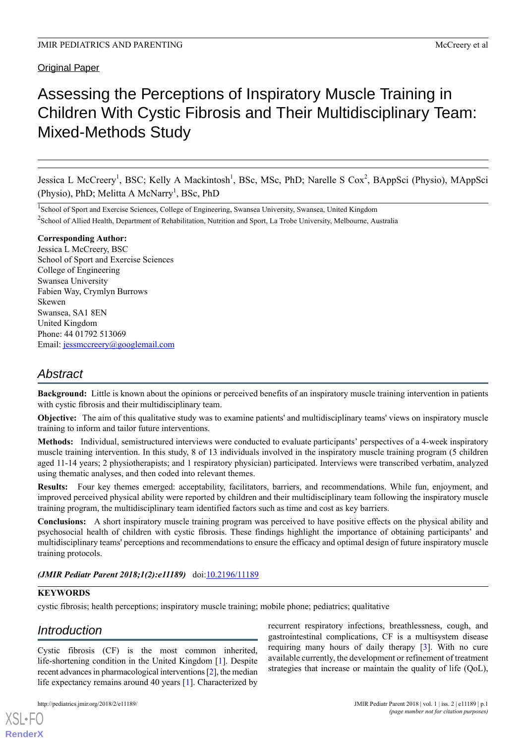# Original Paper

# Assessing the Perceptions of Inspiratory Muscle Training in Children With Cystic Fibrosis and Their Multidisciplinary Team: Mixed-Methods Study

Jessica L McCreery<sup>1</sup>, BSC; Kelly A Mackintosh<sup>1</sup>, BSc, MSc, PhD; Narelle S Cox<sup>2</sup>, BAppSci (Physio), MAppSci (Physio), PhD; Melitta A McNarry<sup>1</sup>, BSc, PhD

<sup>1</sup>School of Sport and Exercise Sciences, College of Engineering, Swansea University, Swansea, United Kingdom <sup>2</sup> School of Allied Health, Department of Rehabilitation, Nutrition and Sport, La Trobe University, Melbourne, Australia

#### **Corresponding Author:**

Jessica L McCreery, BSC School of Sport and Exercise Sciences College of Engineering Swansea University Fabien Way, Crymlyn Burrows Skewen Swansea, SA1 8EN United Kingdom Phone: 44 01792 513069 Email: [jessmccreery@googlemail.com](mailto:jessmccreery@googlemail.com)

# *Abstract*

**Background:** Little is known about the opinions or perceived benefits of an inspiratory muscle training intervention in patients with cystic fibrosis and their multidisciplinary team.

**Objective:** The aim of this qualitative study was to examine patients' and multidisciplinary teams' views on inspiratory muscle training to inform and tailor future interventions.

**Methods:** Individual, semistructured interviews were conducted to evaluate participants' perspectives of a 4-week inspiratory muscle training intervention. In this study, 8 of 13 individuals involved in the inspiratory muscle training program (5 children aged 11-14 years; 2 physiotherapists; and 1 respiratory physician) participated. Interviews were transcribed verbatim, analyzed using thematic analyses, and then coded into relevant themes.

**Results:** Four key themes emerged: acceptability, facilitators, barriers, and recommendations. While fun, enjoyment, and improved perceived physical ability were reported by children and their multidisciplinary team following the inspiratory muscle training program, the multidisciplinary team identified factors such as time and cost as key barriers.

**Conclusions:** A short inspiratory muscle training program was perceived to have positive effects on the physical ability and psychosocial health of children with cystic fibrosis. These findings highlight the importance of obtaining participants' and multidisciplinary teams' perceptions and recommendations to ensure the efficacy and optimal design of future inspiratory muscle training protocols.

## *(JMIR Pediatr Parent 2018;1(2):e11189)* doi:*[10.2196/11189](http://dx.doi.org/10.2196/11189)*

## **KEYWORDS**

cystic fibrosis; health perceptions; inspiratory muscle training; mobile phone; pediatrics; qualitative

# *Introduction*

Cystic fibrosis (CF) is the most common inherited, life-shortening condition in the United Kingdom [\[1](#page-4-0)]. Despite recent advances in pharmacological interventions [\[2\]](#page-4-1), the median life expectancy remains around 40 years [\[1](#page-4-0)]. Characterized by

http://pediatrics.jmir.org/2018/2/e11189/ JMIR Pediatr Parent 2018 | vol. 1 | iss. 2 | e11189 | p.1

recurrent respiratory infections, breathlessness, cough, and gastrointestinal complications, CF is a multisystem disease requiring many hours of daily therapy [[3\]](#page-5-0). With no cure available currently, the development or refinement of treatment strategies that increase or maintain the quality of life (QoL),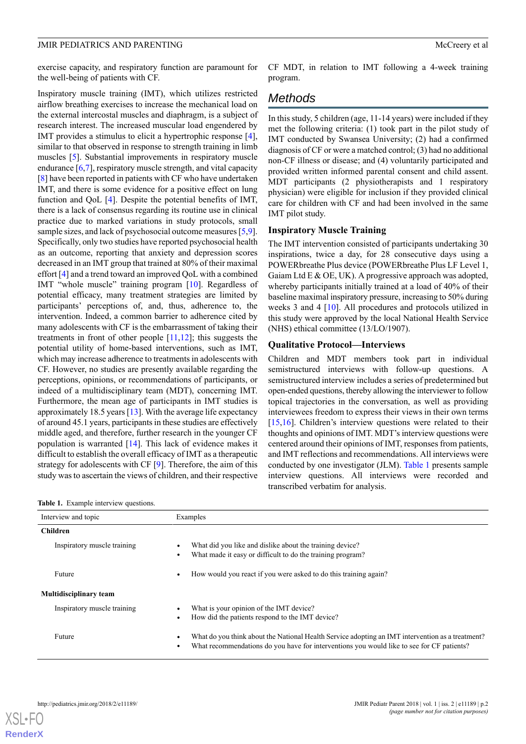exercise capacity, and respiratory function are paramount for the well-being of patients with CF.

Inspiratory muscle training (IMT), which utilizes restricted airflow breathing exercises to increase the mechanical load on the external intercostal muscles and diaphragm, is a subject of research interest. The increased muscular load engendered by IMT provides a stimulus to elicit a hypertrophic response [[4\]](#page-5-1), similar to that observed in response to strength training in limb muscles [[5\]](#page-5-2). Substantial improvements in respiratory muscle endurance [\[6](#page-5-3)[,7\]](#page-5-4), respiratory muscle strength, and vital capacity [[8\]](#page-5-5) have been reported in patients with CF who have undertaken IMT, and there is some evidence for a positive effect on lung function and QoL [\[4](#page-5-1)]. Despite the potential benefits of IMT, there is a lack of consensus regarding its routine use in clinical practice due to marked variations in study protocols, small sample sizes, and lack of psychosocial outcome measures [\[5](#page-5-2),[9\]](#page-5-6). Specifically, only two studies have reported psychosocial health as an outcome, reporting that anxiety and depression scores decreased in an IMT group that trained at 80% of their maximal effort [[4\]](#page-5-1) and a trend toward an improved QoL with a combined IMT "whole muscle" training program [\[10](#page-5-7)]. Regardless of potential efficacy, many treatment strategies are limited by participants' perceptions of, and, thus, adherence to, the intervention. Indeed, a common barrier to adherence cited by many adolescents with CF is the embarrassment of taking their treatments in front of other people  $[11,12]$  $[11,12]$  $[11,12]$  $[11,12]$ ; this suggests the potential utility of home-based interventions, such as IMT, which may increase adherence to treatments in adolescents with CF. However, no studies are presently available regarding the perceptions, opinions, or recommendations of participants, or indeed of a multidisciplinary team (MDT), concerning IMT. Furthermore, the mean age of participants in IMT studies is approximately 18.5 years [[13\]](#page-5-10). With the average life expectancy of around 45.1 years, participants in these studies are effectively middle aged, and therefore, further research in the younger CF population is warranted [[14\]](#page-5-11). This lack of evidence makes it difficult to establish the overall efficacy of IMT as a therapeutic strategy for adolescents with CF [\[9](#page-5-6)]. Therefore, the aim of this study was to ascertain the views of children, and their respective

<span id="page-1-0"></span>**Table 1.** Example interview questions.

CF MDT, in relation to IMT following a 4-week training program.

# *Methods*

In this study, 5 children (age, 11-14 years) were included if they met the following criteria: (1) took part in the pilot study of IMT conducted by Swansea University; (2) had a confirmed diagnosis of CF or were a matched control; (3) had no additional non-CF illness or disease; and (4) voluntarily participated and provided written informed parental consent and child assent. MDT participants (2 physiotherapists and 1 respiratory physician) were eligible for inclusion if they provided clinical care for children with CF and had been involved in the same IMT pilot study.

#### **Inspiratory Muscle Training**

The IMT intervention consisted of participants undertaking 30 inspirations, twice a day, for 28 consecutive days using a POWERbreathe Plus device (POWERbreathe Plus LF Level 1, Gaiam Ltd E & OE, UK). A progressive approach was adopted, whereby participants initially trained at a load of 40% of their baseline maximal inspiratory pressure, increasing to 50% during weeks 3 and 4 [\[10](#page-5-7)]. All procedures and protocols utilized in this study were approved by the local National Health Service (NHS) ethical committee (13/LO/1907).

#### **Qualitative Protocol—Interviews**

Children and MDT members took part in individual semistructured interviews with follow-up questions. A semistructured interview includes a series of predetermined but open-ended questions, thereby allowing the interviewer to follow topical trajectories in the conversation, as well as providing interviewees freedom to express their views in their own terms [[15,](#page-5-12)[16\]](#page-5-13). Children's interview questions were related to their thoughts and opinions of IMT. MDT's interview questions were centered around their opinions of IMT, responses from patients, and IMT reflections and recommendations. All interviews were conducted by one investigator (JLM). [Table 1](#page-1-0) presents sample interview questions. All interviews were recorded and transcribed verbatim for analysis.

| Interview and topic           | Examples                                                                                                                                                                                      |
|-------------------------------|-----------------------------------------------------------------------------------------------------------------------------------------------------------------------------------------------|
| <b>Children</b>               |                                                                                                                                                                                               |
| Inspiratory muscle training   | What did you like and dislike about the training device?<br>What made it easy or difficult to do the training program?                                                                        |
| Future                        | How would you react if you were asked to do this training again?                                                                                                                              |
| <b>Multidisciplinary team</b> |                                                                                                                                                                                               |
| Inspiratory muscle training   | What is your opinion of the IMT device?<br>How did the patients respond to the IMT device?                                                                                                    |
| Future                        | What do you think about the National Health Service adopting an IMT intervention as a treatment?<br>What recommendations do you have for interventions you would like to see for CF patients? |

[XSL](http://www.w3.org/Style/XSL)•FO **[RenderX](http://www.renderx.com/)**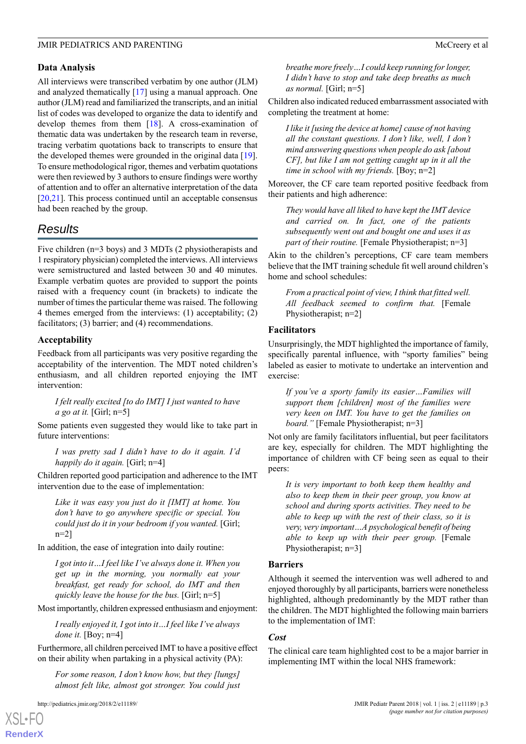#### **Data Analysis**

All interviews were transcribed verbatim by one author (JLM) and analyzed thematically [\[17](#page-5-14)] using a manual approach. One author (JLM) read and familiarized the transcripts, and an initial list of codes was developed to organize the data to identify and develop themes from them [\[18](#page-5-15)]. A cross-examination of thematic data was undertaken by the research team in reverse, tracing verbatim quotations back to transcripts to ensure that the developed themes were grounded in the original data [[19\]](#page-5-16). To ensure methodological rigor, themes and verbatim quotations were then reviewed by 3 authors to ensure findings were worthy of attention and to offer an alternative interpretation of the data [[20](#page-5-17)[,21](#page-5-18)]. This process continued until an acceptable consensus had been reached by the group.

# *Results*

Five children (n=3 boys) and 3 MDTs (2 physiotherapists and 1 respiratory physician) completed the interviews. All interviews were semistructured and lasted between 30 and 40 minutes. Example verbatim quotes are provided to support the points raised with a frequency count (in brackets) to indicate the number of times the particular theme was raised. The following 4 themes emerged from the interviews: (1) acceptability; (2) facilitators; (3) barrier; and (4) recommendations.

## **Acceptability**

Feedback from all participants was very positive regarding the acceptability of the intervention. The MDT noted children's enthusiasm, and all children reported enjoying the IMT intervention:

*I felt really excited [to do IMT] I just wanted to have a go at it.* [Girl; n=5]

Some patients even suggested they would like to take part in future interventions:

*I was pretty sad I didn't have to do it again. I'd happily do it again.* [Girl; n=4]

Children reported good participation and adherence to the IMT intervention due to the ease of implementation:

*Like it was easy you just do it [IMT] at home. You don't have to go anywhere specific or special. You could just do it in your bedroom if you wanted.* [Girl; n=2]

In addition, the ease of integration into daily routine:

*I got into it…I feel like I've always done it. When you get up in the morning, you normally eat your breakfast, get ready for school, do IMT and then quickly leave the house for the bus.* [Girl; n=5]

Most importantly, children expressed enthusiasm and enjoyment:

*I really enjoyed it, I got into it…I feel like I've always done it.* [Boy; n=4]

Furthermore, all children perceived IMT to have a positive effect on their ability when partaking in a physical activity (PA):

*For some reason, I don't know how, but they [lungs] almost felt like, almost got stronger. You could just*

*breathe more freely…I could keep running for longer, I didn't have to stop and take deep breaths as much as normal.* [Girl; n=5]

Children also indicated reduced embarrassment associated with completing the treatment at home:

*I like it [using the device at home] cause of not having all the constant questions. I don't like, well, I don't mind answering questions when people do ask [about CF], but like I am not getting caught up in it all the time in school with my friends.* [Boy; n=2]

Moreover, the CF care team reported positive feedback from their patients and high adherence:

*They would have all liked to have kept the IMT device and carried on. In fact, one of the patients subsequently went out and bought one and uses it as part of their routine.* [Female Physiotherapist; n=3]

Akin to the children's perceptions, CF care team members believe that the IMT training schedule fit well around children's home and school schedules:

*From a practical point of view, I think that fitted well. All feedback seemed to confirm that.* [Female Physiotherapist; n=2]

#### **Facilitators**

Unsurprisingly, the MDT highlighted the importance of family, specifically parental influence, with "sporty families" being labeled as easier to motivate to undertake an intervention and exercise:

*If you've a sporty family its easier…Families will support them [children] most of the families were very keen on IMT. You have to get the families on board.*" [Female Physiotherapist; n=3]

Not only are family facilitators influential, but peer facilitators are key, especially for children. The MDT highlighting the importance of children with CF being seen as equal to their peers:

*It is very important to both keep them healthy and also to keep them in their peer group, you know at school and during sports activities. They need to be able to keep up with the rest of their class, so it is very, very important…A psychological benefit of being able to keep up with their peer group.* [Female Physiotherapist; n=3]

#### **Barriers**

Although it seemed the intervention was well adhered to and enjoyed thoroughly by all participants, barriers were nonetheless highlighted, although predominantly by the MDT rather than the children. The MDT highlighted the following main barriers to the implementation of IMT:

#### *Cost*

The clinical care team highlighted cost to be a major barrier in implementing IMT within the local NHS framework:

[XSL](http://www.w3.org/Style/XSL)•FO **[RenderX](http://www.renderx.com/)**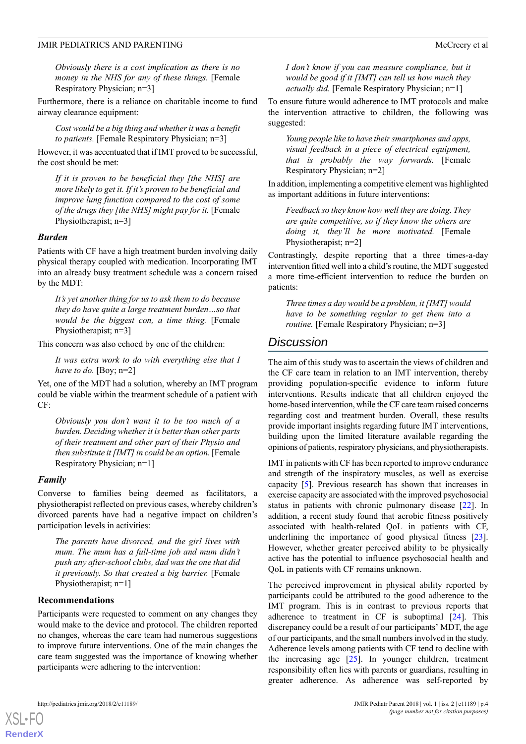*Obviously there is a cost implication as there is no money in the NHS for any of these things.* [Female Respiratory Physician; n=3]

Furthermore, there is a reliance on charitable income to fund airway clearance equipment:

*Cost would be a big thing and whether it was a benefit to patients.* [Female Respiratory Physician; n=3]

However, it was accentuated that if IMT proved to be successful, the cost should be met:

*If it is proven to be beneficial they [the NHS] are more likely to get it. If it's proven to be beneficial and improve lung function compared to the cost of some of the drugs they [the NHS] might pay for it.* [Female Physiotherapist; n=3]

#### *Burden*

Patients with CF have a high treatment burden involving daily physical therapy coupled with medication. Incorporating IMT into an already busy treatment schedule was a concern raised by the MDT:

*It's yet another thing for us to ask them to do because they do have quite a large treatment burden…so that would be the biggest con, a time thing.* [Female Physiotherapist; n=3]

This concern was also echoed by one of the children:

*It was extra work to do with everything else that I have to do.* [Boy; n=2]

Yet, one of the MDT had a solution, whereby an IMT program could be viable within the treatment schedule of a patient with CF:

*Obviously you don't want it to be too much of a burden. Deciding whether it is better than other parts of their treatment and other part of their Physio and then substitute it [IMT] in could be an option.* [Female Respiratory Physician; n=1]

#### *Family*

Converse to families being deemed as facilitators, a physiotherapist reflected on previous cases, whereby children's divorced parents have had a negative impact on children's participation levels in activities:

*The parents have divorced, and the girl lives with mum. The mum has a full-time job and mum didn't push any after-school clubs, dad was the one that did it previously. So that created a big barrier.* [Female Physiotherapist; n=1]

#### **Recommendations**

Participants were requested to comment on any changes they would make to the device and protocol. The children reported no changes, whereas the care team had numerous suggestions to improve future interventions. One of the main changes the care team suggested was the importance of knowing whether participants were adhering to the intervention:

*I don't know if you can measure compliance, but it would be good if it [IMT] can tell us how much they actually did.* [Female Respiratory Physician; n=1]

To ensure future would adherence to IMT protocols and make the intervention attractive to children, the following was suggested:

*Young people like to have their smartphones and apps, visual feedback in a piece of electrical equipment, that is probably the way forwards.* [Female Respiratory Physician; n=2]

In addition, implementing a competitive element was highlighted as important additions in future interventions:

*Feedback so they know how well they are doing. They are quite competitive, so if they know the others are doing it, they'll be more motivated.* [Female Physiotherapist; n=2]

Contrastingly, despite reporting that a three times-a-day intervention fitted well into a child's routine, the MDT suggested a more time-efficient intervention to reduce the burden on patients:

*Three times a day would be a problem, it [IMT] would have to be something regular to get them into a routine.* [Female Respiratory Physician; n=3]

# *Discussion*

The aim of this study was to ascertain the views of children and the CF care team in relation to an IMT intervention, thereby providing population-specific evidence to inform future interventions. Results indicate that all children enjoyed the home-based intervention, while the CF care team raised concerns regarding cost and treatment burden. Overall, these results provide important insights regarding future IMT interventions, building upon the limited literature available regarding the opinions of patients, respiratory physicians, and physiotherapists.

IMT in patients with CF has been reported to improve endurance and strength of the inspiratory muscles, as well as exercise capacity [[5\]](#page-5-2). Previous research has shown that increases in exercise capacity are associated with the improved psychosocial status in patients with chronic pulmonary disease [[22\]](#page-5-19). In addition, a recent study found that aerobic fitness positively associated with health-related QoL in patients with CF, underlining the importance of good physical fitness [[23\]](#page-5-20). However, whether greater perceived ability to be physically active has the potential to influence psychosocial health and QoL in patients with CF remains unknown.

The perceived improvement in physical ability reported by participants could be attributed to the good adherence to the IMT program. This is in contrast to previous reports that adherence to treatment in CF is suboptimal [\[24](#page-5-21)]. This discrepancy could be a result of our participants' MDT, the age of our participants, and the small numbers involved in the study. Adherence levels among patients with CF tend to decline with the increasing age  $[25]$  $[25]$ . In younger children, treatment responsibility often lies with parents or guardians, resulting in greater adherence. As adherence was self-reported by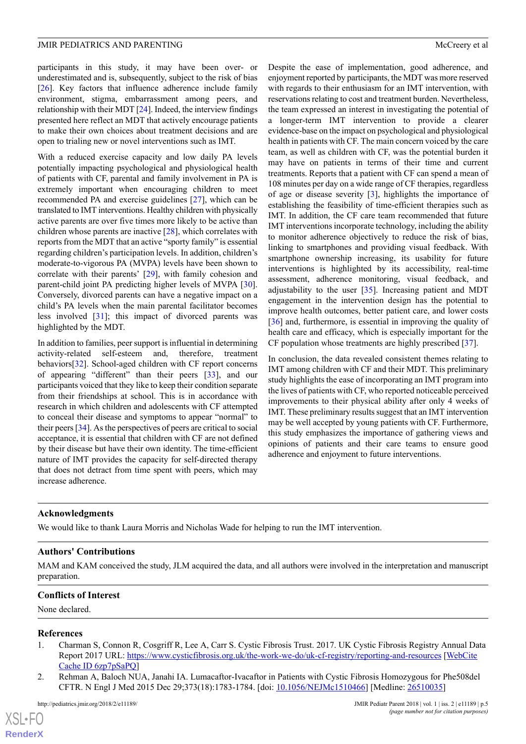participants in this study, it may have been over- or underestimated and is, subsequently, subject to the risk of bias [[26\]](#page-5-23). Key factors that influence adherence include family environment, stigma, embarrassment among peers, and relationship with their MDT [[24](#page-5-21)]. Indeed, the interview findings presented here reflect an MDT that actively encourage patients to make their own choices about treatment decisions and are open to trialing new or novel interventions such as IMT.

With a reduced exercise capacity and low daily PA levels potentially impacting psychological and physiological health of patients with CF, parental and family involvement in PA is extremely important when encouraging children to meet recommended PA and exercise guidelines [\[27](#page-5-24)], which can be translated to IMT interventions. Healthy children with physically active parents are over five times more likely to be active than children whose parents are inactive [\[28](#page-6-0)], which correlates with reports from the MDT that an active "sporty family" is essential regarding children's participation levels. In addition, children's moderate-to-vigorous PA (MVPA) levels have been shown to correlate with their parents' [[29\]](#page-6-1), with family cohesion and parent-child joint PA predicting higher levels of MVPA [[30\]](#page-6-2). Conversely, divorced parents can have a negative impact on a child's PA levels when the main parental facilitator becomes less involved [\[31](#page-6-3)]; this impact of divorced parents was highlighted by the MDT.

In addition to families, peer support is influential in determining activity-related self-esteem and, therefore, treatment behaviors[[32\]](#page-6-4). School-aged children with CF report concerns of appearing "different" than their peers [\[33](#page-6-5)], and our participants voiced that they like to keep their condition separate from their friendships at school. This is in accordance with research in which children and adolescents with CF attempted to conceal their disease and symptoms to appear "normal" to their peers [\[34](#page-6-6)]. As the perspectives of peers are critical to social acceptance, it is essential that children with CF are not defined by their disease but have their own identity. The time-efficient nature of IMT provides the capacity for self-directed therapy that does not detract from time spent with peers, which may increase adherence.

Despite the ease of implementation, good adherence, and enjoyment reported by participants, the MDT was more reserved with regards to their enthusiasm for an IMT intervention, with reservations relating to cost and treatment burden. Nevertheless, the team expressed an interest in investigating the potential of a longer-term IMT intervention to provide a clearer evidence-base on the impact on psychological and physiological health in patients with CF. The main concern voiced by the care team, as well as children with CF, was the potential burden it may have on patients in terms of their time and current treatments. Reports that a patient with CF can spend a mean of 108 minutes per day on a wide range of CF therapies, regardless of age or disease severity [\[3](#page-5-0)], highlights the importance of establishing the feasibility of time-efficient therapies such as IMT. In addition, the CF care team recommended that future IMT interventions incorporate technology, including the ability to monitor adherence objectively to reduce the risk of bias, linking to smartphones and providing visual feedback. With smartphone ownership increasing, its usability for future interventions is highlighted by its accessibility, real-time assessment, adherence monitoring, visual feedback, and adjustability to the user [\[35](#page-6-7)]. Increasing patient and MDT engagement in the intervention design has the potential to improve health outcomes, better patient care, and lower costs [[36\]](#page-6-8) and, furthermore, is essential in improving the quality of health care and efficacy, which is especially important for the CF population whose treatments are highly prescribed [[37\]](#page-6-9).

In conclusion, the data revealed consistent themes relating to IMT among children with CF and their MDT. This preliminary study highlights the ease of incorporating an IMT program into the lives of patients with CF, who reported noticeable perceived improvements to their physical ability after only 4 weeks of IMT. These preliminary results suggest that an IMT intervention may be well accepted by young patients with CF. Furthermore, this study emphasizes the importance of gathering views and opinions of patients and their care teams to ensure good adherence and enjoyment to future interventions.

#### **Acknowledgments**

We would like to thank Laura Morris and Nicholas Wade for helping to run the IMT intervention.

#### **Authors' Contributions**

<span id="page-4-0"></span>MAM and KAM conceived the study, JLM acquired the data, and all authors were involved in the interpretation and manuscript preparation.

## **Conflicts of Interest**

<span id="page-4-1"></span>None declared.

#### **References**

- 1. Charman S, Connon R, Cosgriff R, Lee A, Carr S. Cystic Fibrosis Trust. 2017. UK Cystic Fibrosis Registry Annual Data Report 2017 URL: <https://www.cysticfibrosis.org.uk/the-work-we-do/uk-cf-registry/reporting-and-resources> [[WebCite](http://www.webcitation.org/6zp7pSaPQ) [Cache ID 6zp7pSaPQ](http://www.webcitation.org/6zp7pSaPQ)]
- 2. Rehman A, Baloch NUA, Janahi IA. Lumacaftor-Ivacaftor in Patients with Cystic Fibrosis Homozygous for Phe508del CFTR. N Engl J Med 2015 Dec 29;373(18):1783-1784. [doi: [10.1056/NEJMc1510466\]](http://dx.doi.org/10.1056/NEJMc1510466) [Medline: [26510035](http://www.ncbi.nlm.nih.gov/entrez/query.fcgi?cmd=Retrieve&db=PubMed&list_uids=26510035&dopt=Abstract)]

 $XS$ -FO **[RenderX](http://www.renderx.com/)**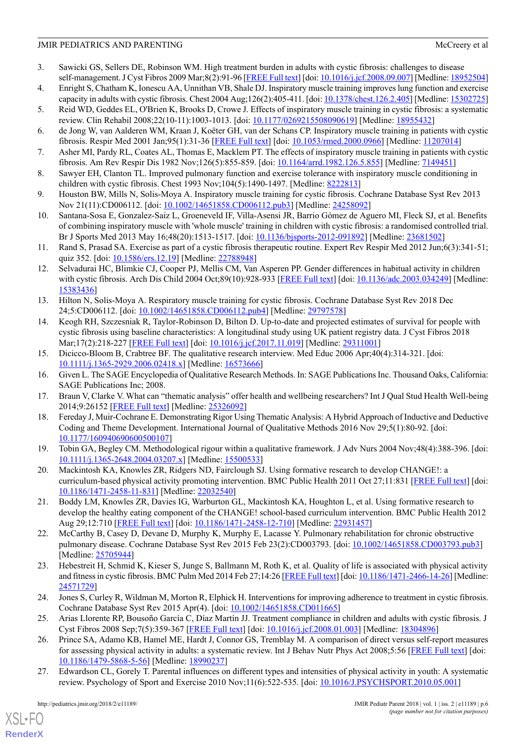- <span id="page-5-0"></span>3. Sawicki GS, Sellers DE, Robinson WM. High treatment burden in adults with cystic fibrosis: challenges to disease self-management. J Cyst Fibros 2009 Mar;8(2):91-96 [[FREE Full text](https://linkinghub.elsevier.com/retrieve/pii/S1569-1993(08)00145-8)] [doi: [10.1016/j.jcf.2008.09.007](http://dx.doi.org/10.1016/j.jcf.2008.09.007)] [Medline: [18952504\]](http://www.ncbi.nlm.nih.gov/entrez/query.fcgi?cmd=Retrieve&db=PubMed&list_uids=18952504&dopt=Abstract)
- <span id="page-5-2"></span><span id="page-5-1"></span>4. Enright S, Chatham K, Ionescu AA, Unnithan VB, Shale DJ. Inspiratory muscle training improves lung function and exercise capacity in adults with cystic fibrosis. Chest 2004 Aug;126(2):405-411. [doi: [10.1378/chest.126.2.405\]](http://dx.doi.org/10.1378/chest.126.2.405) [Medline: [15302725\]](http://www.ncbi.nlm.nih.gov/entrez/query.fcgi?cmd=Retrieve&db=PubMed&list_uids=15302725&dopt=Abstract)
- <span id="page-5-3"></span>5. Reid WD, Geddes EL, O'Brien K, Brooks D, Crowe J. Effects of inspiratory muscle training in cystic fibrosis: a systematic review. Clin Rehabil 2008;22(10-11):1003-1013. [doi: [10.1177/0269215508090619](http://dx.doi.org/10.1177/0269215508090619)] [Medline: [18955432\]](http://www.ncbi.nlm.nih.gov/entrez/query.fcgi?cmd=Retrieve&db=PubMed&list_uids=18955432&dopt=Abstract)
- <span id="page-5-4"></span>6. de Jong W, van Aalderen WM, Kraan J, Koëter GH, van der Schans CP. Inspiratory muscle training in patients with cystic fibrosis. Respir Med 2001 Jan;95(1):31-36 [\[FREE Full text\]](https://linkinghub.elsevier.com/retrieve/pii/S0954-6111(00)90966-1) [doi: [10.1053/rmed.2000.0966\]](http://dx.doi.org/10.1053/rmed.2000.0966) [Medline: [11207014\]](http://www.ncbi.nlm.nih.gov/entrez/query.fcgi?cmd=Retrieve&db=PubMed&list_uids=11207014&dopt=Abstract)
- <span id="page-5-5"></span>7. Asher MI, Pardy RL, Coates AL, Thomas E, Macklem PT. The effects of inspiratory muscle training in patients with cystic fibrosis. Am Rev Respir Dis 1982 Nov;126(5):855-859. [doi: [10.1164/arrd.1982.126.5.855](http://dx.doi.org/10.1164/arrd.1982.126.5.855)] [Medline: [7149451\]](http://www.ncbi.nlm.nih.gov/entrez/query.fcgi?cmd=Retrieve&db=PubMed&list_uids=7149451&dopt=Abstract)
- <span id="page-5-6"></span>8. Sawyer EH, Clanton TL. Improved pulmonary function and exercise tolerance with inspiratory muscle conditioning in children with cystic fibrosis. Chest 1993 Nov;104(5):1490-1497. [Medline: [8222813](http://www.ncbi.nlm.nih.gov/entrez/query.fcgi?cmd=Retrieve&db=PubMed&list_uids=8222813&dopt=Abstract)]
- <span id="page-5-7"></span>9. Houston BW, Mills N, Solis-Moya A. Inspiratory muscle training for cystic fibrosis. Cochrane Database Syst Rev 2013 Nov 21(11):CD006112. [doi: [10.1002/14651858.CD006112.pub3\]](http://dx.doi.org/10.1002/14651858.CD006112.pub3) [Medline: [24258092\]](http://www.ncbi.nlm.nih.gov/entrez/query.fcgi?cmd=Retrieve&db=PubMed&list_uids=24258092&dopt=Abstract)
- <span id="page-5-8"></span>10. Santana-Sosa E, Gonzalez-Saiz L, Groeneveld IF, Villa-Asensi JR, Barrio Gómez de Aguero MI, Fleck SJ, et al. Benefits of combining inspiratory muscle with 'whole muscle' training in children with cystic fibrosis: a randomised controlled trial. Br J Sports Med 2013 May 16;48(20):1513-1517. [doi: [10.1136/bjsports-2012-091892\]](http://dx.doi.org/10.1136/bjsports-2012-091892) [Medline: [23681502](http://www.ncbi.nlm.nih.gov/entrez/query.fcgi?cmd=Retrieve&db=PubMed&list_uids=23681502&dopt=Abstract)]
- <span id="page-5-9"></span>11. Rand S, Prasad SA. Exercise as part of a cystic fibrosis therapeutic routine. Expert Rev Respir Med 2012 Jun;6(3):341-51; quiz 352. [doi: [10.1586/ers.12.19\]](http://dx.doi.org/10.1586/ers.12.19) [Medline: [22788948](http://www.ncbi.nlm.nih.gov/entrez/query.fcgi?cmd=Retrieve&db=PubMed&list_uids=22788948&dopt=Abstract)]
- <span id="page-5-10"></span>12. Selvadurai HC, Blimkie CJ, Cooper PJ, Mellis CM, Van Asperen PP. Gender differences in habitual activity in children with cystic fibrosis. Arch Dis Child 2004 Oct;89(10):928-933 [\[FREE Full text](http://adc.bmj.com/cgi/pmidlookup?view=long&pmid=15383436)] [doi: [10.1136/adc.2003.034249\]](http://dx.doi.org/10.1136/adc.2003.034249) [Medline: [15383436](http://www.ncbi.nlm.nih.gov/entrez/query.fcgi?cmd=Retrieve&db=PubMed&list_uids=15383436&dopt=Abstract)]
- <span id="page-5-11"></span>13. Hilton N, Solis-Moya A. Respiratory muscle training for cystic fibrosis. Cochrane Database Syst Rev 2018 Dec 24;5:CD006112. [doi: [10.1002/14651858.CD006112.pub4\]](http://dx.doi.org/10.1002/14651858.CD006112.pub4) [Medline: [29797578](http://www.ncbi.nlm.nih.gov/entrez/query.fcgi?cmd=Retrieve&db=PubMed&list_uids=29797578&dopt=Abstract)]
- <span id="page-5-12"></span>14. Keogh RH, Szczesniak R, Taylor-Robinson D, Bilton D. Up-to-date and projected estimates of survival for people with cystic fibrosis using baseline characteristics: A longitudinal study using UK patient registry data. J Cyst Fibros 2018 Mar;17(2):218-227 [[FREE Full text](https://linkinghub.elsevier.com/retrieve/pii/S1569-1993(17)30976-1)] [doi: [10.1016/j.jcf.2017.11.019](http://dx.doi.org/10.1016/j.jcf.2017.11.019)] [Medline: [29311001\]](http://www.ncbi.nlm.nih.gov/entrez/query.fcgi?cmd=Retrieve&db=PubMed&list_uids=29311001&dopt=Abstract)
- <span id="page-5-14"></span><span id="page-5-13"></span>15. Dicicco-Bloom B, Crabtree BF. The qualitative research interview. Med Educ 2006 Apr;40(4):314-321. [doi: [10.1111/j.1365-2929.2006.02418.x\]](http://dx.doi.org/10.1111/j.1365-2929.2006.02418.x) [Medline: [16573666](http://www.ncbi.nlm.nih.gov/entrez/query.fcgi?cmd=Retrieve&db=PubMed&list_uids=16573666&dopt=Abstract)]
- <span id="page-5-15"></span>16. Given L. The SAGE Encyclopedia of Qualitative Research Methods. In: SAGE Publications Inc. Thousand Oaks, California: SAGE Publications Inc; 2008.
- <span id="page-5-16"></span>17. Braun V, Clarke V. What can "thematic analysis" offer health and wellbeing researchers? Int J Qual Stud Health Well-being 2014;9:26152 [[FREE Full text](http://www.ijqhw.net/index.php/qhw/article/view/26152)] [Medline: [25326092](http://www.ncbi.nlm.nih.gov/entrez/query.fcgi?cmd=Retrieve&db=PubMed&list_uids=25326092&dopt=Abstract)]
- <span id="page-5-17"></span>18. Fereday J, Muir-Cochrane E. Demonstrating Rigor Using Thematic Analysis: A Hybrid Approach of Inductive and Deductive Coding and Theme Development. International Journal of Qualitative Methods 2016 Nov 29;5(1):80-92. [doi: [10.1177/160940690600500107](http://dx.doi.org/10.1177/160940690600500107)]
- <span id="page-5-18"></span>19. Tobin GA, Begley CM. Methodological rigour within a qualitative framework. J Adv Nurs 2004 Nov;48(4):388-396. [doi: [10.1111/j.1365-2648.2004.03207.x\]](http://dx.doi.org/10.1111/j.1365-2648.2004.03207.x) [Medline: [15500533](http://www.ncbi.nlm.nih.gov/entrez/query.fcgi?cmd=Retrieve&db=PubMed&list_uids=15500533&dopt=Abstract)]
- <span id="page-5-19"></span>20. Mackintosh KA, Knowles ZR, Ridgers ND, Fairclough SJ. Using formative research to develop CHANGE!: a curriculum-based physical activity promoting intervention. BMC Public Health 2011 Oct 27;11:831 [\[FREE Full text](https://bmcpublichealth.biomedcentral.com/articles/10.1186/1471-2458-11-831)] [doi: [10.1186/1471-2458-11-831](http://dx.doi.org/10.1186/1471-2458-11-831)] [Medline: [22032540\]](http://www.ncbi.nlm.nih.gov/entrez/query.fcgi?cmd=Retrieve&db=PubMed&list_uids=22032540&dopt=Abstract)
- <span id="page-5-20"></span>21. Boddy LM, Knowles ZR, Davies IG, Warburton GL, Mackintosh KA, Houghton L, et al. Using formative research to develop the healthy eating component of the CHANGE! school-based curriculum intervention. BMC Public Health 2012 Aug 29;12:710 [[FREE Full text](https://bmcpublichealth.biomedcentral.com/articles/10.1186/1471-2458-12-710)] [doi: [10.1186/1471-2458-12-710](http://dx.doi.org/10.1186/1471-2458-12-710)] [Medline: [22931457\]](http://www.ncbi.nlm.nih.gov/entrez/query.fcgi?cmd=Retrieve&db=PubMed&list_uids=22931457&dopt=Abstract)
- <span id="page-5-21"></span>22. McCarthy B, Casey D, Devane D, Murphy K, Murphy E, Lacasse Y. Pulmonary rehabilitation for chronic obstructive pulmonary disease. Cochrane Database Syst Rev 2015 Feb 23(2):CD003793. [doi: [10.1002/14651858.CD003793.pub3](http://dx.doi.org/10.1002/14651858.CD003793.pub3)] [Medline: [25705944](http://www.ncbi.nlm.nih.gov/entrez/query.fcgi?cmd=Retrieve&db=PubMed&list_uids=25705944&dopt=Abstract)]
- <span id="page-5-23"></span><span id="page-5-22"></span>23. Hebestreit H, Schmid K, Kieser S, Junge S, Ballmann M, Roth K, et al. Quality of life is associated with physical activity and fitness in cystic fibrosis. BMC Pulm Med 2014 Feb 27;14:26 [\[FREE Full text\]](https://bmcpulmmed.biomedcentral.com/articles/10.1186/1471-2466-14-26) [doi: [10.1186/1471-2466-14-26](http://dx.doi.org/10.1186/1471-2466-14-26)] [Medline: [24571729](http://www.ncbi.nlm.nih.gov/entrez/query.fcgi?cmd=Retrieve&db=PubMed&list_uids=24571729&dopt=Abstract)]
- <span id="page-5-24"></span>24. Jones S, Curley R, Wildman M, Morton R, Elphick H. Interventions for improving adherence to treatment in cystic fibrosis. Cochrane Database Syst Rev 2015 Apr(4). [doi: [10.1002/14651858.CD011665](http://dx.doi.org/10.1002/14651858.CD011665)]
- 25. Arias Llorente RP, Bousoño García C, Díaz Martín JJ. Treatment compliance in children and adults with cystic fibrosis. J Cyst Fibros 2008 Sep;7(5):359-367 [\[FREE Full text\]](https://linkinghub.elsevier.com/retrieve/pii/S1569-1993(08)00003-9) [doi: [10.1016/j.jcf.2008.01.003\]](http://dx.doi.org/10.1016/j.jcf.2008.01.003) [Medline: [18304896](http://www.ncbi.nlm.nih.gov/entrez/query.fcgi?cmd=Retrieve&db=PubMed&list_uids=18304896&dopt=Abstract)]
- 26. Prince SA, Adamo KB, Hamel ME, Hardt J, Connor GS, Tremblay M. A comparison of direct versus self-report measures for assessing physical activity in adults: a systematic review. Int J Behav Nutr Phys Act 2008;5:56 [\[FREE Full text\]](http://www.ijbnpa.org/content/5//56) [doi: [10.1186/1479-5868-5-56](http://dx.doi.org/10.1186/1479-5868-5-56)] [Medline: [18990237](http://www.ncbi.nlm.nih.gov/entrez/query.fcgi?cmd=Retrieve&db=PubMed&list_uids=18990237&dopt=Abstract)]
- 27. Edwardson CL, Gorely T. Parental influences on different types and intensities of physical activity in youth: A systematic review. Psychology of Sport and Exercise 2010 Nov;11(6):522-535. [doi: [10.1016/J.PSYCHSPORT.2010.05.001](http://dx.doi.org/10.1016/J.PSYCHSPORT.2010.05.001)]